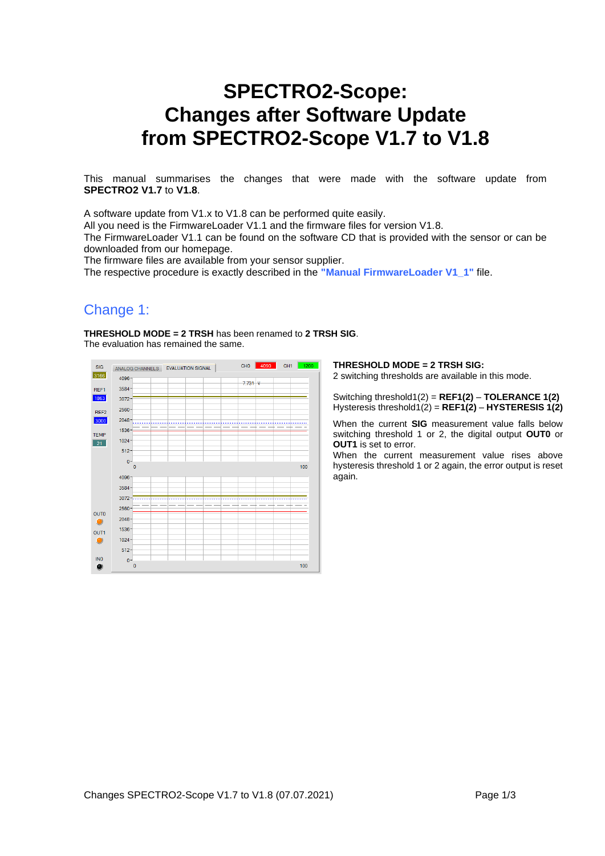# **SPECTRO2-Scope: Changes after Software Update from SPECTRO2-Scope V1.7 to V1.8**

This manual summarises the changes that were made with the software update from **SPECTRO2 V1.7** to **V1.8**.

A software update from V1.x to V1.8 can be performed quite easily.

All you need is the FirmwareLoader V1.1 and the firmware files for version V1.8.

The FirmwareLoader V1.1 can be found on the software CD that is provided with the sensor or can be downloaded from our homepage.

The firmware files are available from your sensor supplier.

The respective procedure is exactly described in the **"Manual FirmwareLoader V1\_1"** file.

## Change 1:

**THRESHOLD MODE = 2 TRSH** has been renamed to **2 TRSH SIG**. The evaluation has remained the same.



### **THRESHOLD MODE = 2 TRSH SIG:**

2 switching thresholds are available in this mode.

Switching threshold1(2) = **REF1(2)** – **TOLERANCE 1(2)** Hysteresis threshold1(2) = **REF1(2)** – **HYSTERESIS 1(2)**

When the current **SIG** measurement value falls below switching threshold 1 or 2, the digital output **OUT0** or **OUT1** is set to error.

When the current measurement value rises above hysteresis threshold 1 or 2 again, the error output is reset again.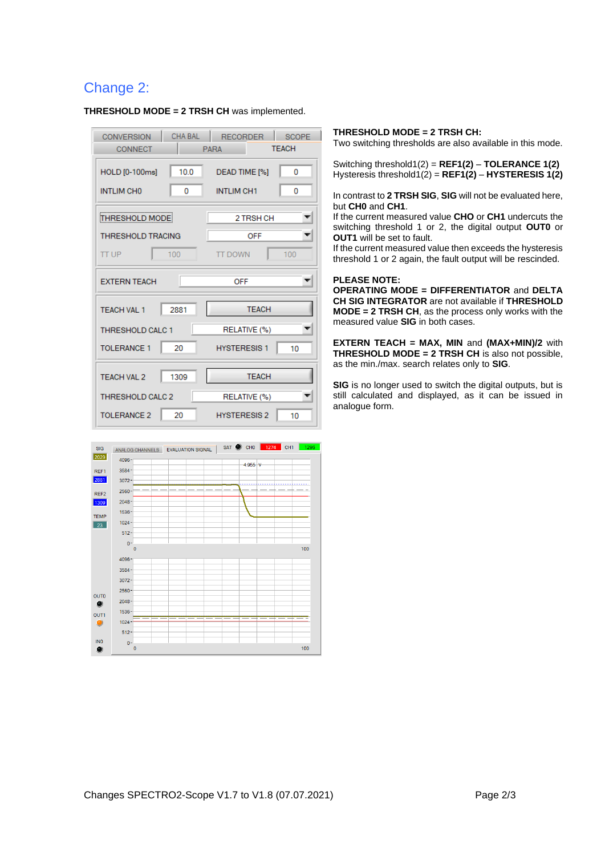## Change 2:

| CHA BAL<br><b>CONVERSION</b><br>CONNECT          | <b>RECORDER</b><br><b>SCOPE</b><br><b>TFACH</b><br><b>PARA</b> |
|--------------------------------------------------|----------------------------------------------------------------|
| 10.0<br>HOLD [0-100ms]<br><b>INTLIM CHO</b><br>0 | DEAD TIME [%]<br>0<br><b>INTLIM CH1</b><br>٥                   |
| THRESHOLD MODE                                   | 2 TRSH CH                                                      |
| <b>THRESHOLD TRACING</b>                         | <b>OFF</b>                                                     |
| <b>TT UP</b><br>100                              | <b>TT DOWN</b><br>100                                          |
| <b>EXTERN TEACH</b>                              | OFF                                                            |
| 2881<br><b>TEACH VAL 1</b>                       | <b>TEACH</b>                                                   |
| <b>THRESHOLD CALC 1</b>                          | RELATIVE (%)                                                   |
| 20<br><b>TOLERANCE 1</b>                         | <b>HYSTERESIS1</b><br>10                                       |
| 1309<br><b>TEACH VAL 2</b>                       | <b>TEACH</b>                                                   |
| <b>THRESHOLD CALC 2</b>                          | RELATIVE (%)                                                   |
| 20<br><b>TOLERANCE 2</b>                         | <b>HYSTERESIS 2</b><br>10                                      |

**THRESHOLD MODE = 2 TRSH CH** was implemented.

#### ANALOG CHANNELS EVALUATION SIGNAL SAT C CHO 1274 CH1 SIG 2029 4096  $4955v$ REF1 3584 2881 3072 2560 REF2  $\frac{1309}{x}$ 2048 1536 TEMP 1024  $\overline{23}$  $512 \mathbf{0}$ 100 4096 3584  $3072 2560 -$ **OUTO** 2048  $\bullet$ 1536 OUT1 1024  $\bullet$ 512 **INO**  $\mathbf{0}$  $100$  $\bullet$

### **THRESHOLD MODE = 2 TRSH CH:**

Two switching thresholds are also available in this mode.

Switching threshold1(2) = **REF1(2)** – **TOLERANCE 1(2)** Hysteresis threshold1(2) = **REF1(2)** – **HYSTERESIS 1(2)**

In contrast to **2 TRSH SIG**, **SIG** will not be evaluated here, but **CH0** and **CH1**.

If the current measured value **CHO** or **CH1** undercuts the switching threshold 1 or 2, the digital output **OUT0** or **OUT1** will be set to fault.

If the current measured value then exceeds the hysteresis threshold 1 or 2 again, the fault output will be rescinded.

### **PLEASE NOTE:**

**OPERATING MODE = DIFFERENTIATOR** and **DELTA CH SIG INTEGRATOR** are not available if **THRESHOLD MODE = 2 TRSH CH**, as the process only works with the measured value **SIG** in both cases.

**EXTERN TEACH = MAX, MIN** and **(MAX+MIN)/2** with **THRESHOLD MODE = 2 TRSH CH** is also not possible, as the min./max. search relates only to **SIG**.

**SIG** is no longer used to switch the digital outputs, but is still calculated and displayed, as it can be issued in analogue form.